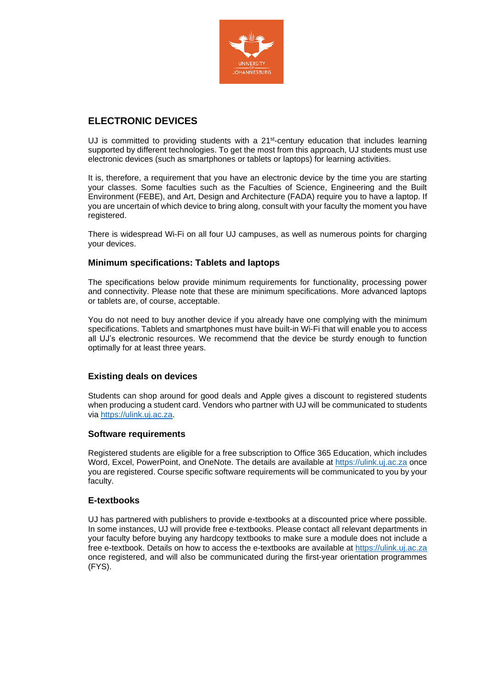

# **ELECTRONIC DEVICES**

UJ is committed to providing students with a  $21st$ -century education that includes learning supported by different technologies. To get the most from this approach, UJ students must use electronic devices (such as smartphones or tablets or laptops) for learning activities.

It is, therefore, a requirement that you have an electronic device by the time you are starting your classes. Some faculties such as the Faculties of Science, Engineering and the Built Environment (FEBE), and Art, Design and Architecture (FADA) require you to have a laptop. If you are uncertain of which device to bring along, consult with your faculty the moment you have registered.

There is widespread Wi-Fi on all four UJ campuses, as well as numerous points for charging your devices.

# **Minimum specifications: Tablets and laptops**

The specifications below provide minimum requirements for functionality, processing power and connectivity. Please note that these are minimum specifications. More advanced laptops or tablets are, of course, acceptable.

You do not need to buy another device if you already have one complying with the minimum specifications. Tablets and smartphones must have built-in Wi-Fi that will enable you to access all UJ's electronic resources. We recommend that the device be sturdy enough to function optimally for at least three years.

# **Existing deals on devices**

Students can shop around for good deals and Apple gives a discount to registered students when producing a student card. Vendors who partner with UJ will be communicated to students via [https://ulink.uj.ac.za.](https://ulink.uj.ac.za/)

#### **Software requirements**

Registered students are eligible for a free subscription to Office 365 Education, which includes Word, Excel, PowerPoint, and OneNote. The details are available at [https://ulink.uj.ac.za](https://ulink.uj.ac.za/) once you are registered. Course specific software requirements will be communicated to you by your faculty.

#### **E-textbooks**

UJ has partnered with publishers to provide e-textbooks at a discounted price where possible. In some instances, UJ will provide free e-textbooks. Please contact all relevant departments in your faculty before buying any hardcopy textbooks to make sure a module does not include a free e-textbook. Details on how to access the e-textbooks are available at [https://ulink.uj.ac.za](https://ulink.uj.ac.za/) once registered, and will also be communicated during the first-year orientation programmes (FYS).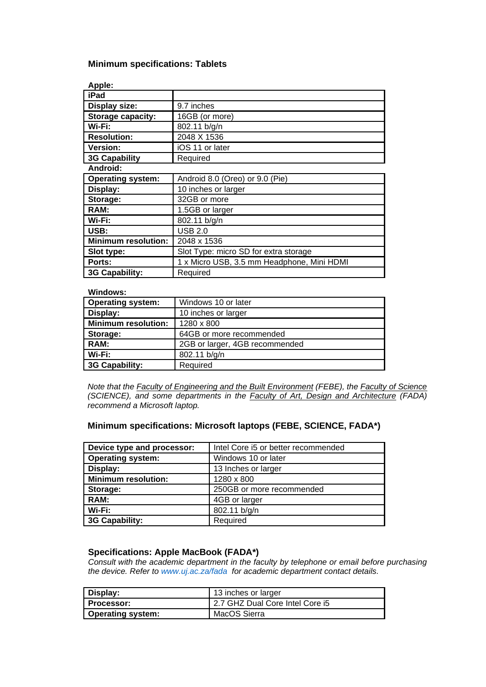## **Minimum specifications: Tablets**

| Apple:                     |                                            |
|----------------------------|--------------------------------------------|
| iPad                       |                                            |
| <b>Display size:</b>       | 9.7 inches                                 |
| <b>Storage capacity:</b>   | 16GB (or more)                             |
| Wi-Fi:                     | 802.11 b/g/n                               |
| <b>Resolution:</b>         | 2048 X 1536                                |
| Version:                   | iOS 11 or later                            |
| <b>3G Capability</b>       | Required                                   |
| Android:                   |                                            |
| <b>Operating system:</b>   | Android 8.0 (Oreo) or 9.0 (Pie)            |
| Display:                   | 10 inches or larger                        |
| Storage:                   | 32GB or more                               |
| RAM:                       | 1.5GB or larger                            |
| Wi-Fi:                     | 802.11 b/g/n                               |
| USB:                       | <b>USB 2.0</b>                             |
| <b>Minimum resolution:</b> | 2048 x 1536                                |
| Slot type:                 | Slot Type: micro SD for extra storage      |
| Ports:                     | 1 x Micro USB, 3.5 mm Headphone, Mini HDMI |
| 3G Capability:             | Required                                   |

#### **Windows:**

| <b>Operating system:</b>   | Windows 10 or later            |
|----------------------------|--------------------------------|
| Display:                   | 10 inches or larger            |
| <b>Minimum resolution:</b> | 1280 x 800                     |
| Storage:                   | 64GB or more recommended       |
| RAM:                       | 2GB or larger, 4GB recommended |
| Wi-Fi:                     | 802.11 b/g/n                   |
| 3G Capability:             | Required                       |

*Note that the Faculty of Engineering and the Built Environment (FEBE), the Faculty of Science (SCIENCE), and some departments in the Faculty of Art, Design and Architecture (FADA) recommend a Microsoft laptop.*

## **Minimum specifications: Microsoft laptops (FEBE, SCIENCE, FADA\*)**

| Device type and processor: | Intel Core i5 or better recommended |
|----------------------------|-------------------------------------|
| <b>Operating system:</b>   | Windows 10 or later                 |
| Display:                   | 13 Inches or larger                 |
| <b>Minimum resolution:</b> | 1280 x 800                          |
| Storage:                   | 250GB or more recommended           |
| RAM:                       | 4GB or larger                       |
| Wi-Fi:                     | 802.11 b/g/n                        |
| 3G Capability:             | Required                            |

### **Specifications: Apple MacBook (FADA\*)**

*Consult with the academic department in the faculty by telephone or email before purchasing the device. Refer to [www.uj.ac.za/fada](http://www.uj.ac.za/fada) for academic department contact details.*

| Display:                 | 113 inches or larger            |
|--------------------------|---------------------------------|
| <b>Processor:</b>        | 2.7 GHZ Dual Core Intel Core i5 |
| <b>Operating system:</b> | MacOS Sierra                    |